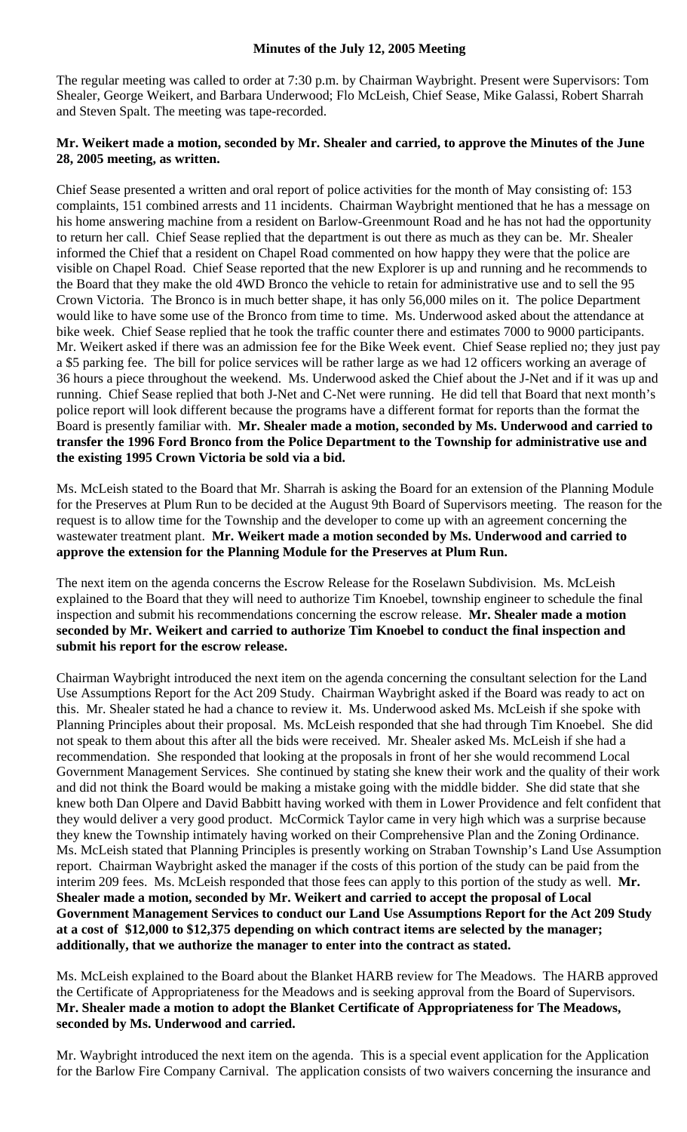The regular meeting was called to order at 7:30 p.m. by Chairman Waybright. Present were Supervisors: Tom Shealer, George Weikert, and Barbara Underwood; Flo McLeish, Chief Sease, Mike Galassi, Robert Sharrah and Steven Spalt. The meeting was tape-recorded.

## **Mr. Weikert made a motion, seconded by Mr. Shealer and carried, to approve the Minutes of the June 28, 2005 meeting, as written.**

Chief Sease presented a written and oral report of police activities for the month of May consisting of: 153 complaints, 151 combined arrests and 11 incidents. Chairman Waybright mentioned that he has a message on his home answering machine from a resident on Barlow-Greenmount Road and he has not had the opportunity to return her call. Chief Sease replied that the department is out there as much as they can be. Mr. Shealer informed the Chief that a resident on Chapel Road commented on how happy they were that the police are visible on Chapel Road. Chief Sease reported that the new Explorer is up and running and he recommends to the Board that they make the old 4WD Bronco the vehicle to retain for administrative use and to sell the 95 Crown Victoria. The Bronco is in much better shape, it has only 56,000 miles on it. The police Department would like to have some use of the Bronco from time to time. Ms. Underwood asked about the attendance at bike week. Chief Sease replied that he took the traffic counter there and estimates 7000 to 9000 participants. Mr. Weikert asked if there was an admission fee for the Bike Week event. Chief Sease replied no; they just pay a \$5 parking fee. The bill for police services will be rather large as we had 12 officers working an average of 36 hours a piece throughout the weekend. Ms. Underwood asked the Chief about the J-Net and if it was up and running. Chief Sease replied that both J-Net and C-Net were running. He did tell that Board that next month's police report will look different because the programs have a different format for reports than the format the Board is presently familiar with. **Mr. Shealer made a motion, seconded by Ms. Underwood and carried to transfer the 1996 Ford Bronco from the Police Department to the Township for administrative use and the existing 1995 Crown Victoria be sold via a bid.** 

Ms. McLeish stated to the Board that Mr. Sharrah is asking the Board for an extension of the Planning Module for the Preserves at Plum Run to be decided at the August 9th Board of Supervisors meeting. The reason for the request is to allow time for the Township and the developer to come up with an agreement concerning the wastewater treatment plant. **Mr. Weikert made a motion seconded by Ms. Underwood and carried to approve the extension for the Planning Module for the Preserves at Plum Run.** 

The next item on the agenda concerns the Escrow Release for the Roselawn Subdivision. Ms. McLeish explained to the Board that they will need to authorize Tim Knoebel, township engineer to schedule the final inspection and submit his recommendations concerning the escrow release. **Mr. Shealer made a motion seconded by Mr. Weikert and carried to authorize Tim Knoebel to conduct the final inspection and submit his report for the escrow release.** 

Chairman Waybright introduced the next item on the agenda concerning the consultant selection for the Land Use Assumptions Report for the Act 209 Study. Chairman Waybright asked if the Board was ready to act on this. Mr. Shealer stated he had a chance to review it. Ms. Underwood asked Ms. McLeish if she spoke with Planning Principles about their proposal. Ms. McLeish responded that she had through Tim Knoebel. She did not speak to them about this after all the bids were received. Mr. Shealer asked Ms. McLeish if she had a recommendation. She responded that looking at the proposals in front of her she would recommend Local Government Management Services. She continued by stating she knew their work and the quality of their work and did not think the Board would be making a mistake going with the middle bidder. She did state that she knew both Dan Olpere and David Babbitt having worked with them in Lower Providence and felt confident that they would deliver a very good product. McCormick Taylor came in very high which was a surprise because they knew the Township intimately having worked on their Comprehensive Plan and the Zoning Ordinance. Ms. McLeish stated that Planning Principles is presently working on Straban Township's Land Use Assumption report. Chairman Waybright asked the manager if the costs of this portion of the study can be paid from the interim 209 fees. Ms. McLeish responded that those fees can apply to this portion of the study as well. **Mr. Shealer made a motion, seconded by Mr. Weikert and carried to accept the proposal of Local Government Management Services to conduct our Land Use Assumptions Report for the Act 209 Study at a cost of \$12,000 to \$12,375 depending on which contract items are selected by the manager; additionally, that we authorize the manager to enter into the contract as stated.** 

Ms. McLeish explained to the Board about the Blanket HARB review for The Meadows. The HARB approved the Certificate of Appropriateness for the Meadows and is seeking approval from the Board of Supervisors. **Mr. Shealer made a motion to adopt the Blanket Certificate of Appropriateness for The Meadows, seconded by Ms. Underwood and carried.** 

Mr. Waybright introduced the next item on the agenda. This is a special event application for the Application for the Barlow Fire Company Carnival. The application consists of two waivers concerning the insurance and